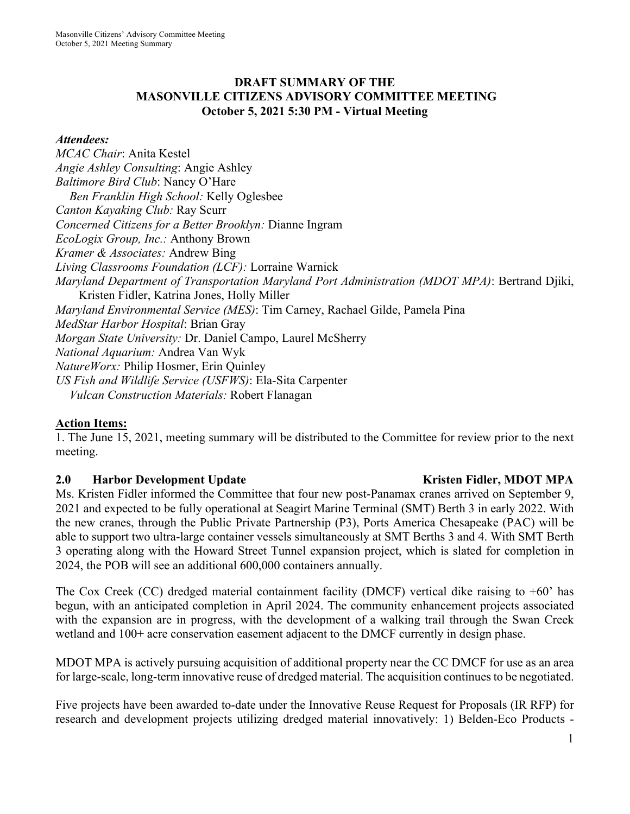### **DRAFT SUMMARY OF THE MASONVILLE CITIZENS ADVISORY COMMITTEE MEETING October 5, 2021 5:30 PM - Virtual Meeting**

### *Attendees:*

*MCAC Chair*: Anita Kestel *Angie Ashley Consulting*: Angie Ashley *Baltimore Bird Club*: Nancy O'Hare *Ben Franklin High School:* Kelly Oglesbee *Canton Kayaking Club:* Ray Scurr *Concerned Citizens for a Better Brooklyn:* Dianne Ingram *EcoLogix Group, Inc.:* Anthony Brown *Kramer & Associates:* Andrew Bing *Living Classrooms Foundation (LCF):* Lorraine Warnick *Maryland Department of Transportation Maryland Port Administration (MDOT MPA)*: Bertrand Djiki, Kristen Fidler, Katrina Jones, Holly Miller *Maryland Environmental Service (MES)*: Tim Carney, Rachael Gilde, Pamela Pina *MedStar Harbor Hospital*: Brian Gray *Morgan State University:* Dr. Daniel Campo, Laurel McSherry *National Aquarium:* Andrea Van Wyk *NatureWorx:* Philip Hosmer, Erin Quinley *US Fish and Wildlife Service (USFWS)*: Ela-Sita Carpenter *Vulcan Construction Materials:* Robert Flanagan

### **Action Items:**

1. The June 15, 2021, meeting summary will be distributed to the Committee for review prior to the next meeting.

### **2.0 Harbor Development Update Service School Service Contract Arrival Arrival Harbor MPA**

Ms. Kristen Fidler informed the Committee that four new post-Panamax cranes arrived on September 9, 2021 and expected to be fully operational at Seagirt Marine Terminal (SMT) Berth 3 in early 2022. With the new cranes, through the Public Private Partnership (P3), Ports America Chesapeake (PAC) will be able to support two ultra-large container vessels simultaneously at SMT Berths 3 and 4. With SMT Berth 3 operating along with the Howard Street Tunnel expansion project, which is slated for completion in 2024, the POB will see an additional 600,000 containers annually.

The Cox Creek (CC) dredged material containment facility (DMCF) vertical dike raising to  $+60$ ' has begun, with an anticipated completion in April 2024. The community enhancement projects associated with the expansion are in progress, with the development of a walking trail through the Swan Creek wetland and 100+ acre conservation easement adjacent to the DMCF currently in design phase.

MDOT MPA is actively pursuing acquisition of additional property near the CC DMCF for use as an area for large-scale, long-term innovative reuse of dredged material. The acquisition continues to be negotiated.

Five projects have been awarded to-date under the Innovative Reuse Request for Proposals (IR RFP) for research and development projects utilizing dredged material innovatively: 1) Belden-Eco Products -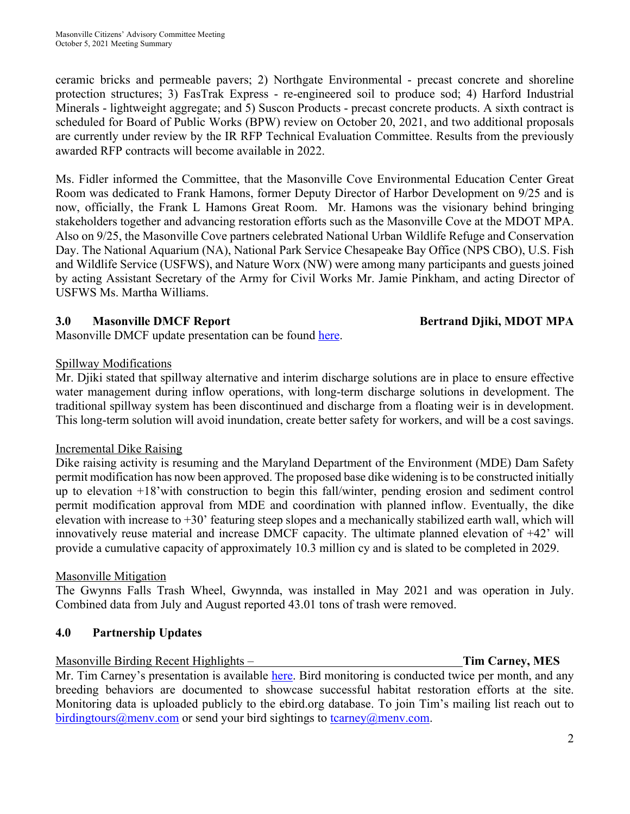ceramic bricks and permeable pavers; 2) Northgate Environmental - precast concrete and shoreline protection structures; 3) FasTrak Express - re-engineered soil to produce sod; 4) Harford Industrial Minerals - lightweight aggregate; and 5) Suscon Products - precast concrete products. A sixth contract is scheduled for Board of Public Works (BPW) review on October 20, 2021, and two additional proposals are currently under review by the IR RFP Technical Evaluation Committee. Results from the previously awarded RFP contracts will become available in 2022.

Ms. Fidler informed the Committee, that the Masonville Cove Environmental Education Center Great Room was dedicated to Frank Hamons, former Deputy Director of Harbor Development on 9/25 and is now, officially, the Frank L Hamons Great Room. Mr. Hamons was the visionary behind bringing stakeholders together and advancing restoration efforts such as the Masonville Cove at the MDOT MPA. Also on 9/25, the Masonville Cove partners celebrated National Urban Wildlife Refuge and Conservation Day. The National Aquarium (NA), National Park Service Chesapeake Bay Office (NPS CBO), U.S. Fish and Wildlife Service (USFWS), and Nature Worx (NW) were among many participants and guests joined by acting Assistant Secretary of the Army for Civil Works Mr. Jamie Pinkham, and acting Director of USFWS Ms. Martha Williams.

### **3.0 Masonville DMCF Report Bertrand Djiki, MDOT MPA**

Masonville DMCF update presentation can be found here.

### Spillway Modifications

Mr. Djiki stated that spillway alternative and interim discharge solutions are in place to ensure effective water management during inflow operations, with long-term discharge solutions in development. The traditional spillway system has been discontinued and discharge from a floating weir is in development. This long-term solution will avoid inundation, create better safety for workers, and will be a cost savings.

# Incremental Dike Raising

Dike raising activity is resuming and the Maryland Department of the Environment (MDE) Dam Safety permit modification has now been approved. The proposed base dike widening is to be constructed initially up to elevation +18'with construction to begin this fall/winter, pending erosion and sediment control permit modification approval from MDE and coordination with planned inflow. Eventually, the dike elevation with increase to  $+30$ ' featuring steep slopes and a mechanically stabilized earth wall, which will innovatively reuse material and increase DMCF capacity. The ultimate planned elevation of +42' will provide a cumulative capacity of approximately 10.3 million cy and is slated to be completed in 2029.

# Masonville Mitigation

The Gwynns Falls Trash Wheel, Gwynnda, was installed in May 2021 and was operation in July. Combined data from July and August reported 43.01 tons of trash were removed.

# **4.0 Partnership Updates**

### Masonville Birding Recent Highlights – **Tim Carney, MES**

Mr. Tim Carney's presentation is available here. Bird monitoring is conducted twice per month, and any breeding behaviors are documented to showcase successful habitat restoration efforts at the site. Monitoring data is uploaded publicly to the ebird.org database. To join Tim's mailing list reach out to birdingtours@menv.com or send your bird sightings to tcarney@menv.com.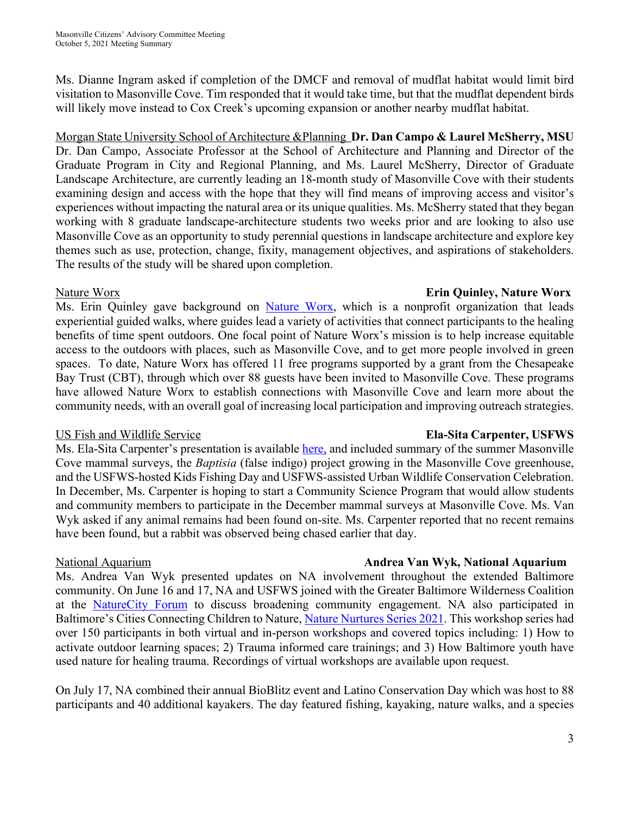Ms. Dianne Ingram asked if completion of the DMCF and removal of mudflat habitat would limit bird visitation to Masonville Cove. Tim responded that it would take time, but that the mudflat dependent birds will likely move instead to Cox Creek's upcoming expansion or another nearby mudflat habitat.

Morgan State University School of Architecture &Planning **Dr. Dan Campo & Laurel McSherry, MSU** Dr. Dan Campo, Associate Professor at the School of Architecture and Planning and Director of the Graduate Program in City and Regional Planning, and Ms. Laurel McSherry, Director of Graduate Landscape Architecture, are currently leading an 18-month study of Masonville Cove with their students examining design and access with the hope that they will find means of improving access and visitor's experiences without impacting the natural area or its unique qualities. Ms. McSherry stated that they began working with 8 graduate landscape-architecture students two weeks prior and are looking to also use Masonville Cove as an opportunity to study perennial questions in landscape architecture and explore key themes such as use, protection, change, fixity, management objectives, and aspirations of stakeholders. The results of the study will be shared upon completion.

### Ms. Erin Quinley gave background on Nature Worx, which is a nonprofit organization that leads experiential guided walks, where guides lead a variety of activities that connect participants to the healing benefits of time spent outdoors. One focal point of Nature Worx's mission is to help increase equitable access to the outdoors with places, such as Masonville Cove, and to get more people involved in green spaces. To date, Nature Worx has offered 11 free programs supported by a grant from the Chesapeake Bay Trust (CBT), through which over 88 guests have been invited to Masonville Cove. These programs have allowed Nature Worx to establish connections with Masonville Cove and learn more about the community needs, with an overall goal of increasing local participation and improving outreach strategies.

### US Fish and Wildlife Service **Ela-Sita Carpenter, USFWS**

### Ms. Ela-Sita Carpenter's presentation is available here, and included summary of the summer Masonville Cove mammal surveys, the *Baptisia* (false indigo) project growing in the Masonville Cove greenhouse, and the USFWS-hosted Kids Fishing Day and USFWS-assisted Urban Wildlife Conservation Celebration. In December, Ms. Carpenter is hoping to start a Community Science Program that would allow students and community members to participate in the December mammal surveys at Masonville Cove. Ms. Van Wyk asked if any animal remains had been found on-site. Ms. Carpenter reported that no recent remains have been found, but a rabbit was observed being chased earlier that day.

### National Aquarium **Andrea Van Wyk, National Aquarium**

Ms. Andrea Van Wyk presented updates on NA involvement throughout the extended Baltimore community. On June 16 and 17, NA and USFWS joined with the Greater Baltimore Wilderness Coalition at the NatureCity Forum to discuss broadening community engagement. NA also participated in Baltimore's Cities Connecting Children to Nature, Nature Nurtures Series 2021. This workshop series had over 150 participants in both virtual and in-person workshops and covered topics including: 1) How to activate outdoor learning spaces; 2) Trauma informed care trainings; and 3) How Baltimore youth have used nature for healing trauma. Recordings of virtual workshops are available upon request.

On July 17, NA combined their annual BioBlitz event and Latino Conservation Day which was host to 88 participants and 40 additional kayakers. The day featured fishing, kayaking, nature walks, and a species

# Nature Worx **Erin Quinley, Nature Worx**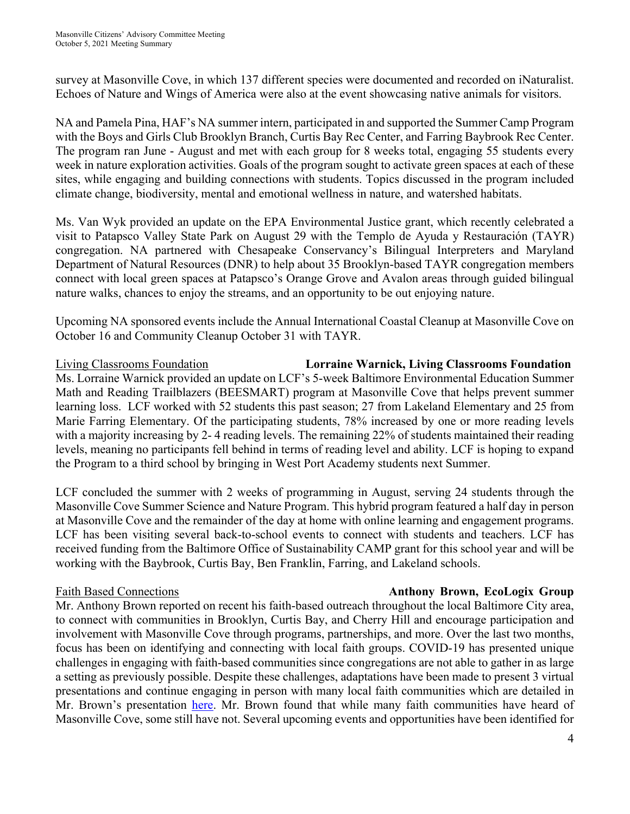survey at Masonville Cove, in which 137 different species were documented and recorded on iNaturalist. Echoes of Nature and Wings of America were also at the event showcasing native animals for visitors.

NA and Pamela Pina, HAF's NA summer intern, participated in and supported the Summer Camp Program with the Boys and Girls Club Brooklyn Branch, Curtis Bay Rec Center, and Farring Baybrook Rec Center. The program ran June - August and met with each group for 8 weeks total, engaging 55 students every week in nature exploration activities. Goals of the program sought to activate green spaces at each of these sites, while engaging and building connections with students. Topics discussed in the program included climate change, biodiversity, mental and emotional wellness in nature, and watershed habitats.

Ms. Van Wyk provided an update on the EPA Environmental Justice grant, which recently celebrated a visit to Patapsco Valley State Park on August 29 with the Templo de Ayuda y Restauración (TAYR) congregation. NA partnered with Chesapeake Conservancy's Bilingual Interpreters and Maryland Department of Natural Resources (DNR) to help about 35 Brooklyn-based TAYR congregation members connect with local green spaces at Patapsco's Orange Grove and Avalon areas through guided bilingual nature walks, chances to enjoy the streams, and an opportunity to be out enjoying nature.

Upcoming NA sponsored events include the Annual International Coastal Cleanup at Masonville Cove on October 16 and Community Cleanup October 31 with TAYR.

Living Classrooms Foundation **Lorraine Warnick, Living Classrooms Foundation** Ms. Lorraine Warnick provided an update on LCF's 5-week Baltimore Environmental Education Summer Math and Reading Trailblazers (BEESMART) program at Masonville Cove that helps prevent summer learning loss. LCF worked with 52 students this past season; 27 from Lakeland Elementary and 25 from Marie Farring Elementary. Of the participating students, 78% increased by one or more reading levels with a majority increasing by 2-4 reading levels. The remaining 22% of students maintained their reading levels, meaning no participants fell behind in terms of reading level and ability. LCF is hoping to expand the Program to a third school by bringing in West Port Academy students next Summer.

LCF concluded the summer with 2 weeks of programming in August, serving 24 students through the Masonville Cove Summer Science and Nature Program. This hybrid program featured a half day in person at Masonville Cove and the remainder of the day at home with online learning and engagement programs. LCF has been visiting several back-to-school events to connect with students and teachers. LCF has received funding from the Baltimore Office of Sustainability CAMP grant for this school year and will be working with the Baybrook, Curtis Bay, Ben Franklin, Farring, and Lakeland schools.

### Faith Based Connections **Anthony Brown, EcoLogix Group**

Mr. Anthony Brown reported on recent his faith-based outreach throughout the local Baltimore City area, to connect with communities in Brooklyn, Curtis Bay, and Cherry Hill and encourage participation and involvement with Masonville Cove through programs, partnerships, and more. Over the last two months, focus has been on identifying and connecting with local faith groups. COVID-19 has presented unique challenges in engaging with faith-based communities since congregations are not able to gather in as large a setting as previously possible. Despite these challenges, adaptations have been made to present 3 virtual presentations and continue engaging in person with many local faith communities which are detailed in Mr. Brown's presentation here. Mr. Brown found that while many faith communities have heard of Masonville Cove, some still have not. Several upcoming events and opportunities have been identified for